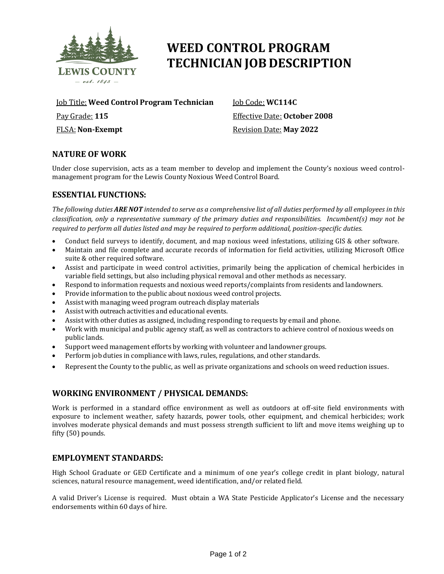

# **WEED CONTROL PROGRAM TECHNICIAN JOB DESCRIPTION**

Job Title: **Weed Control Program Technician**

Pay Grade: **115**

FLSA: **Non-Exempt**

Job Code: **WC114C** Effective Date: **October 2008** Revision Date: **May 2022**

# **NATURE OF WORK**

Under close supervision, acts as a team member to develop and implement the County's noxious weed controlmanagement program for the Lewis County Noxious Weed Control Board.

# **ESSENTIAL FUNCTIONS:**

The following duties ARE NOT intended to serve as a comprehensive list of all duties performed by all employees in this *classification, only a representative summary of the primary duties and responsibilities. Incumbent(s) may not be required to perform all duties listed and may be required to perform additional, position-specific duties.*

- Conduct field surveys to identify, document, and map noxious weed infestations, utilizing GIS & other software.
- Maintain and file complete and accurate records of information for field activities, utilizing Microsoft Office suite & other required software.
- Assist and participate in weed control activities, primarily being the application of chemical herbicides in variable field settings, but also including physical removal and other methods as necessary.
- Respond to information requests and noxious weed reports/complaints from residents and landowners.
- Provide information to the public about noxious weed control projects.
- Assist with managing weed program outreach display materials
- Assist with outreach activities and educational events.
- Assist with other duties as assigned, including responding to requests by email and phone.
- Work with municipal and public agency staff, as well as contractors to achieve control of noxious weeds on public lands.
- Support weed management efforts by working with volunteer and landowner groups.
- Perform job duties in compliance with laws, rules, regulations, and other standards.
- Represent the County to the public, as well as private organizations and schools on weed reduction issues.

# **WORKING ENVIRONMENT / PHYSICAL DEMANDS:**

Work is performed in a standard office environment as well as outdoors at off-site field environments with exposure to inclement weather, safety hazards, power tools, other equipment, and chemical herbicides; work involves moderate physical demands and must possess strength sufficient to lift and move items weighing up to fifty (50) pounds.

## **EMPLOYMENT STANDARDS:**

High School Graduate or GED Certificate and a minimum of one year's college credit in plant biology, natural sciences, natural resource management, weed identification, and/or related field.

A valid Driver's License is required. Must obtain a WA State Pesticide Applicator's License and the necessary endorsements within 60 days of hire.